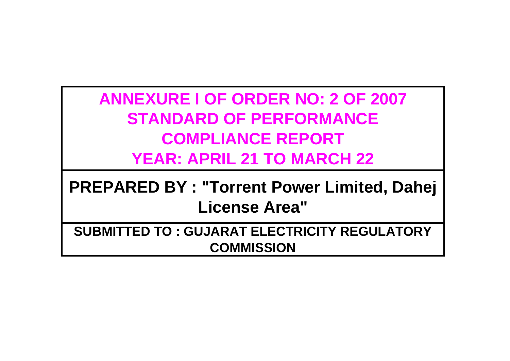**ANNEXURE I OF ORDER NO: 2 OF 2007 STANDARD OF PERFORMANCE COMPLIANCE REPORT YEAR: APRIL 21 TO MARCH 22**

**PREPARED BY : "Torrent Power Limited, Dahej License Area"**

**SUBMITTED TO : GUJARAT ELECTRICITY REGULATORY COMMISSION**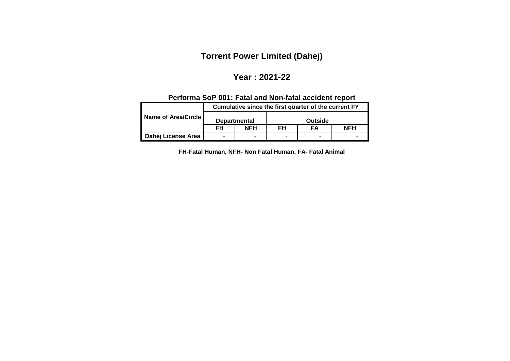# **Torrent Power Limited (Dahej)**

#### **Year : 2021-22**

## **Performa SoP 001: Fatal and Non-fatal accident report**

|                     | Cumulative since the first quarter of the current FY |                     |                |                |            |  |
|---------------------|------------------------------------------------------|---------------------|----------------|----------------|------------|--|
| Name of Area/Circle |                                                      | <b>Departmental</b> | Outside        |                |            |  |
|                     | FH                                                   | <b>NFH</b>          | FH             | FΑ             | <b>NFH</b> |  |
| Dahej License Area  |                                                      |                     | $\blacksquare$ | $\blacksquare$ |            |  |

**FH-Fatal Human, NFH- Non Fatal Human, FA- Fatal Animal**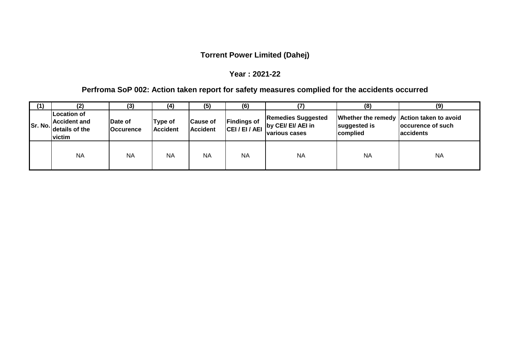### **Torrent Power Limited (Dahej)**

#### **Year : 2021-22**

## **Perfroma SoP 002: Action taken report for safety measures complied for the accidents occurred**

| (1)       | (2)                                                                   | (3)                                | (4)                        | (5)                                | (6)                |                                                                                        | (8)                      | (9)                                                                        |
|-----------|-----------------------------------------------------------------------|------------------------------------|----------------------------|------------------------------------|--------------------|----------------------------------------------------------------------------------------|--------------------------|----------------------------------------------------------------------------|
| Sr. No.It | <b>Location of</b><br><b>Accident and</b><br>details of the<br>victim | <b>Date of</b><br><b>Occurence</b> | Type of<br><b>Accident</b> | <b>Cause of</b><br><b>Accident</b> | <b>Findings of</b> | <b>Remedies Suggested</b><br>CEI / EI / AEI by CEI/ EI/ AEI in<br><b>various cases</b> | suggested is<br>complied | Whether the remedy Action taken to avoid<br>occurence of such<br>accidents |
|           | <b>NA</b>                                                             | <b>NA</b>                          | <b>NA</b>                  | <b>NA</b>                          | <b>NA</b>          | <b>NA</b>                                                                              | <b>NA</b>                | <b>NA</b>                                                                  |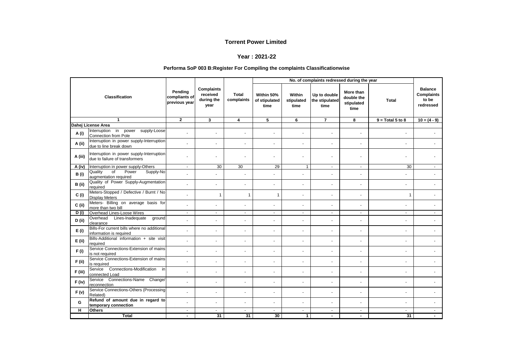#### **Year : 2021-22**

#### **Performa SoP 003 B:Register For Compiling the complaints Classificationwise**

|              |                                                                             |                      |                                                     |                            | No. of complaints redressed during the year |                              |                                        |                                               |                          |                                                           |
|--------------|-----------------------------------------------------------------------------|----------------------|-----------------------------------------------------|----------------------------|---------------------------------------------|------------------------------|----------------------------------------|-----------------------------------------------|--------------------------|-----------------------------------------------------------|
|              | <b>Classification</b>                                                       |                      | <b>Complaints</b><br>received<br>during the<br>year | <b>Total</b><br>complaints | Within 50%<br>of stipulated<br>time         | Within<br>stipulated<br>time | Up to double<br>the stipulated<br>time | More than<br>double the<br>stipulated<br>time | <b>Total</b>             | <b>Balance</b><br><b>Complaints</b><br>to be<br>redressed |
|              | 1                                                                           | $\mathbf{2}$         | 3                                                   | 4                          | 5                                           | 6                            | $\overline{7}$                         | 8                                             | $9 = Total 5 to 8$       | $10 = (4 - 9)$                                            |
|              | Dahej License Area                                                          |                      |                                                     |                            |                                             |                              |                                        |                                               |                          |                                                           |
| A (i)        | Interruption in<br>supply-Loose<br>power<br>Connection from Pole            | ä,                   | ä,                                                  | $\mathbf{r}$               | $\mathbf{r}$                                |                              |                                        | $\sim$                                        | $\blacksquare$           |                                                           |
| A (ii)       | Interruption in power supply-Interruption<br>due to line break down         | $\overline{a}$       | ä,                                                  | ÷.                         | $\sim$                                      | $\sim$                       |                                        |                                               |                          |                                                           |
| A (iii)      | Interruption in power supply-Interruption<br>due to failure of transformers |                      |                                                     | ٠                          |                                             |                              |                                        |                                               | $\blacksquare$           |                                                           |
| A (iv)       | Interruption in power supply-Others                                         | $\sim$               | 30                                                  | 30                         | 29                                          | $\mathbf{1}$                 | $\sim$                                 | $\sim$                                        | 30                       | $\sim$                                                    |
| <b>B</b> (i) | Power<br>Quality<br>$\overline{of}$<br>Supply-No<br>augmentation required   | ä,                   |                                                     | ä,                         | $\mathbf{r}$                                |                              |                                        |                                               |                          |                                                           |
| B (ii)       | Quality of Power Supply-Augmentation<br>required                            | ÷                    | ä,                                                  | ÷.                         | $\mathbf{r}$                                | $\overline{\phantom{a}}$     |                                        | $\sim$                                        | ٠                        |                                                           |
| C(i)         | Meters-Stopped / Defective / Burnt / No<br><b>Display Meters</b>            |                      | 1                                                   | 1                          | $\mathbf{1}$                                | $\sim$                       |                                        |                                               | -1                       |                                                           |
| $C$ (ii)     | Meters- Billing on average basis for<br>more than two bill                  | ä,                   | ä,                                                  | ÷                          |                                             |                              | $\sim$                                 | ÷.                                            | ÷.                       |                                                           |
| D(i)         | Overhead Lines-Loose Wires                                                  | $\sim$               | $\sim$                                              | $\sim$                     | $\sim$                                      | $\sim$                       | $\sim$                                 | $\sim$                                        | $\sim$                   | $\sim$                                                    |
| D (ii)       | Overhead Lines-Inadequate<br>ground<br>clearance                            | ä,                   | ÷,                                                  | $\blacksquare$             | $\blacksquare$                              | $\blacksquare$               |                                        | $\overline{\phantom{a}}$                      |                          |                                                           |
| E(i)         | Bills-For current bills where no additional<br>information is required      | ä,                   | ä,                                                  | $\mathbf{r}$               | $\mathbf{r}$                                | $\blacksquare$               | $\sim$                                 | $\sim$                                        | ä,                       |                                                           |
| $E$ (ii)     | Bills-Additional information + site visit<br>required                       | ÷                    | $\blacksquare$                                      | ÷.                         | $\mathbf{r}$                                | $\overline{\phantom{a}}$     | $\sim$                                 | $\sim$                                        | $\blacksquare$           |                                                           |
| F(i)         | Service Connections-Extension of mains<br>is not required                   |                      | L.                                                  | ÷                          |                                             |                              |                                        |                                               | ÷.                       |                                                           |
| F(i)         | Service Connections-Extension of mains<br>is required                       |                      | ä,                                                  | ÷                          | ÷                                           |                              |                                        |                                               | ä,                       |                                                           |
| F (iii)      | <b>Connections-Modification</b><br>Service<br>in<br>connected Load          | $\ddot{\phantom{1}}$ | ٠                                                   | $\blacksquare$             | $\mathbf{r}$                                |                              |                                        | $\blacksquare$                                | ٠                        |                                                           |
| $F$ (iv)     | Service Connections-Name Change/<br>reconnection                            | $\blacksquare$       | $\blacksquare$                                      | $\sim$                     | $\blacksquare$                              | $\sim$                       |                                        | $\overline{\phantom{a}}$                      | $\ddot{\phantom{1}}$     |                                                           |
| F(v)         | Service Connections-Others (Processing<br>Related)                          | ÷                    | $\blacksquare$                                      | $\overline{a}$             | $\mathbf{r}$                                | $\sim$                       | $\sim$                                 | $\sim$                                        | $\overline{\phantom{a}}$ |                                                           |
| G            | Refund of amount due in regard to<br>temporary connection                   | ä,                   | ٠                                                   | $\sim$                     | $\blacksquare$                              | $\blacksquare$               |                                        | $\overline{\phantom{a}}$                      | $\overline{\phantom{a}}$ |                                                           |
| π            | <b>Others</b>                                                               | $\sim$               | $\mathbf{r}$                                        | $\omega$                   | $\mathbf{r}$                                | $\mathbf{r}$                 | $\sim$                                 | $\blacksquare$                                | $\overline{\phantom{a}}$ | $\sim$                                                    |
|              | <b>Total</b>                                                                | $\blacksquare$       | 31                                                  | 31                         | 30                                          | $\mathbf{1}$                 | $\blacksquare$                         | $\blacksquare$                                | 31                       |                                                           |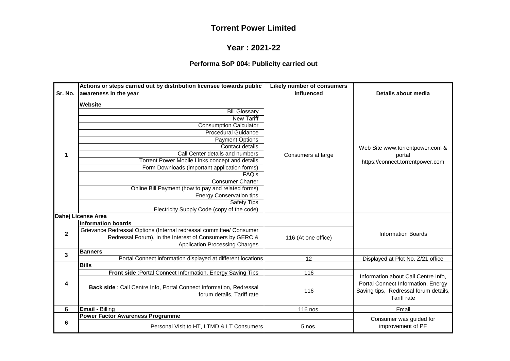# **Year : 2021-22**

### **Performa SoP 004: Publicity carried out**

|             | Actions or steps carried out by distribution licensee towards public                                                                                                                                                                                                                                                                                                                                                                                                                                          | <b>Likely number of consumers</b> |                                                                                                   |
|-------------|---------------------------------------------------------------------------------------------------------------------------------------------------------------------------------------------------------------------------------------------------------------------------------------------------------------------------------------------------------------------------------------------------------------------------------------------------------------------------------------------------------------|-----------------------------------|---------------------------------------------------------------------------------------------------|
| Sr. No.     | awareness in the year                                                                                                                                                                                                                                                                                                                                                                                                                                                                                         | influenced                        | Details about media                                                                               |
| 1           | <b>Website</b><br><b>Bill Glossary</b><br><b>New Tariff</b><br><b>Consumption Calculator</b><br><b>Procedural Guidance</b><br><b>Payment Options</b><br>Contact details<br>Call Center details and numbers<br>Torrent Power Mobile Links concept and details<br>Form Downloads (important application forms)<br>FAQ's<br><b>Consumer Charter</b><br>Online Bill Payment (how to pay and related forms)<br><b>Energy Conservation tips</b><br><b>Safety Tips</b><br>Electricity Supply Code (copy of the code) | Consumers at large                | Web Site www.torrentpower.com &<br>portal<br>https://connect.torrentpower.com                     |
|             | Dahej License Area                                                                                                                                                                                                                                                                                                                                                                                                                                                                                            |                                   |                                                                                                   |
| $\mathbf 2$ | <b>Information boards</b><br>Grievance Redressal Options (Internal redressal committee/ Consumer<br>Redressal Forum), In the Interest of Consumers by GERC &<br><b>Application Processing Charges</b>                                                                                                                                                                                                                                                                                                         | 116 (At one office)               | <b>Information Boards</b>                                                                         |
| 3           | <b>Banners</b>                                                                                                                                                                                                                                                                                                                                                                                                                                                                                                |                                   |                                                                                                   |
|             | Portal Connect information displayed at different locations                                                                                                                                                                                                                                                                                                                                                                                                                                                   | 12                                | Displayed at Plot No. Z/21 office                                                                 |
|             | <b>Bills</b>                                                                                                                                                                                                                                                                                                                                                                                                                                                                                                  |                                   |                                                                                                   |
|             | Front side : Portal Connect Information, Energy Saving Tips                                                                                                                                                                                                                                                                                                                                                                                                                                                   | 116                               | Information about Call Centre Info,                                                               |
| 4           | Back side : Call Centre Info, Portal Connect Information, Redressal<br>forum details, Tariff rate                                                                                                                                                                                                                                                                                                                                                                                                             | 116                               | Portal Connect Information, Energy<br>Saving tips, Redressal forum details,<br><b>Tariff rate</b> |
| 5           | <b>Email - Billing</b>                                                                                                                                                                                                                                                                                                                                                                                                                                                                                        | 116 nos.                          | Email                                                                                             |
|             | <b>Power Factor Awareness Programme</b>                                                                                                                                                                                                                                                                                                                                                                                                                                                                       |                                   | Consumer was guided for                                                                           |
| 6           | Personal Visit to HT, LTMD & LT Consumers                                                                                                                                                                                                                                                                                                                                                                                                                                                                     | $5$ nos.                          | improvement of PF                                                                                 |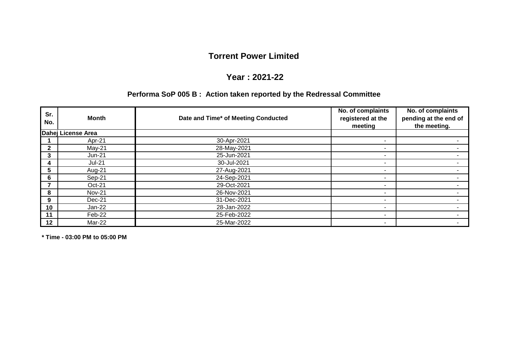#### **Year : 2021-22**

### **Performa SoP 005 B : Action taken reported by the Redressal Committee**

| Sr.<br>No.   | Month              | Date and Time* of Meeting Conducted | No. of complaints<br>registered at the<br>meeting | No. of complaints<br>pending at the end of<br>the meeting. |
|--------------|--------------------|-------------------------------------|---------------------------------------------------|------------------------------------------------------------|
|              | Dahej License Area |                                     |                                                   |                                                            |
|              | Apr-21             | 30-Apr-2021                         | $\overline{\phantom{0}}$                          |                                                            |
| $\mathbf{2}$ | $May-21$           | 28-May-2021                         | $\overline{\phantom{a}}$                          |                                                            |
| 3            | Jun-21             | 25-Jun-2021                         | $\blacksquare$                                    |                                                            |
| 4            | <b>Jul-21</b>      | 30-Jul-2021                         | $\overline{\phantom{0}}$                          |                                                            |
| 5            | Aug-21             | 27-Aug-2021                         | $\overline{\phantom{a}}$                          |                                                            |
| 6            | Sep-21             | 24-Sep-2021                         | $\blacksquare$                                    |                                                            |
|              | $Oct-21$           | 29-Oct-2021                         | $\blacksquare$                                    |                                                            |
| 8            | <b>Nov-21</b>      | 26-Nov-2021                         | $\blacksquare$                                    |                                                            |
| 9            | $Dec-21$           | 31-Dec-2021                         | $\blacksquare$                                    |                                                            |
| 10           | Jan-22             | 28-Jan-2022                         | $\blacksquare$                                    |                                                            |
| 11           | Feb-22             | 25-Feb-2022                         | $\blacksquare$                                    |                                                            |
| 12           | Mar-22             | 25-Mar-2022                         | $\overline{\phantom{0}}$                          |                                                            |

**\* Time - 03:00 PM to 05:00 PM**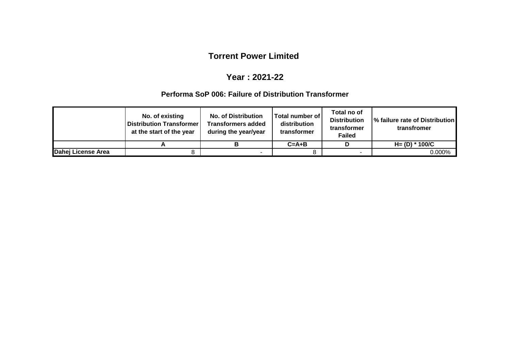### **Year : 2021-22**

#### **Performa SoP 006: Failure of Distribution Transformer**

|                    | No. of existing<br><b>Distribution Transformer</b><br>at the start of the year | <b>No. of Distribution</b><br><b>Transformers added</b><br>during the year/year | Total number of<br>distribution<br>transformer | Total no of<br><b>Distribution</b><br>transformer<br><b>Failed</b> | │% failure rate of Distribution  <br>transfromer |
|--------------------|--------------------------------------------------------------------------------|---------------------------------------------------------------------------------|------------------------------------------------|--------------------------------------------------------------------|--------------------------------------------------|
|                    |                                                                                |                                                                                 | $C = A + B$                                    |                                                                    | $H = (D) * 100/C$                                |
| Dahej License Area |                                                                                |                                                                                 |                                                |                                                                    | 0.000%                                           |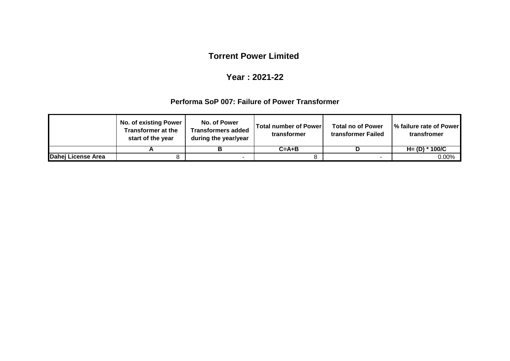### **Year : 2021-22**

#### **Performa SoP 007: Failure of Power Transformer**

|                    | <b>No. of existing Power</b><br>Transformer at the<br>start of the year | No. of Power<br><b>Transformers added</b><br>during the year/year | <b>Total number of Power</b><br>transformer | <b>Total no of Power</b><br>transformer Failed | % failure rate of Power<br>transfromer |
|--------------------|-------------------------------------------------------------------------|-------------------------------------------------------------------|---------------------------------------------|------------------------------------------------|----------------------------------------|
|                    |                                                                         |                                                                   | $C = A + B$                                 |                                                | $H = (D) * 100/C$                      |
| Dahej License Area |                                                                         | $\overline{\phantom{a}}$                                          |                                             | $\overline{\phantom{a}}$                       | $0.00\%$                               |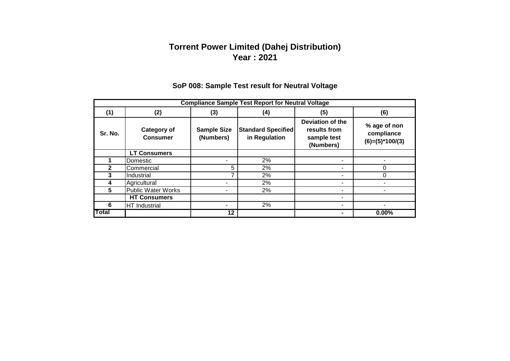## **Torrent Power Limited (Dahej Distribution) Year : 2021**

|         | <b>Compliance Sample Test Report for Neutral Voltage</b> |                                 |                                            |                                                              |                                                 |  |  |  |  |
|---------|----------------------------------------------------------|---------------------------------|--------------------------------------------|--------------------------------------------------------------|-------------------------------------------------|--|--|--|--|
| (1)     | (2)                                                      | (3)                             | (4)                                        | (5)                                                          | (6)                                             |  |  |  |  |
| Sr. No. | Category of<br><b>Consumer</b>                           | <b>Sample Size</b><br>(Numbers) | <b>Standard Specified</b><br>in Regulation | Deviation of the<br>results from<br>sample test<br>(Numbers) | % age of non<br>compliance<br>$(6)=(5)*100/(3)$ |  |  |  |  |
|         | <b>LT Consumers</b>                                      |                                 |                                            |                                                              |                                                 |  |  |  |  |
|         | Domestic                                                 |                                 | 2%                                         |                                                              |                                                 |  |  |  |  |
|         | Commercial                                               | 5                               | 2%                                         |                                                              | ი                                               |  |  |  |  |
| 3       | Industrial                                               | 7                               | 2%                                         |                                                              |                                                 |  |  |  |  |
|         | Agricultural                                             |                                 | 2%                                         |                                                              |                                                 |  |  |  |  |
| 5.      | <b>Public Water Works</b>                                |                                 | 2%                                         | ٠                                                            |                                                 |  |  |  |  |
|         | <b>HT Consumers</b>                                      |                                 |                                            |                                                              |                                                 |  |  |  |  |
| 6       | HT Industrial                                            |                                 | 2%                                         |                                                              |                                                 |  |  |  |  |
| Total   |                                                          | 12                              |                                            |                                                              | $0.00\%$                                        |  |  |  |  |

### **SoP 008: Sample Test result for Neutral Voltage**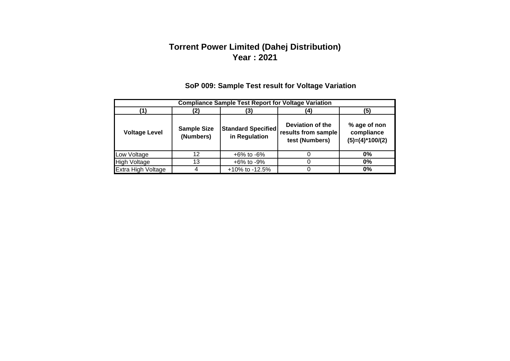## **Torrent Power Limited (Dahej Distribution) Year : 2021**

# **SoP 009: Sample Test result for Voltage Variation**

| <b>Compliance Sample Test Report for Voltage Variation</b> |                                 |                                            |                                                           |                                                 |  |  |  |  |
|------------------------------------------------------------|---------------------------------|--------------------------------------------|-----------------------------------------------------------|-------------------------------------------------|--|--|--|--|
| (5<br>'3)                                                  |                                 |                                            |                                                           |                                                 |  |  |  |  |
| <b>Voltage Level</b>                                       | <b>Sample Size</b><br>(Numbers) | <b>Standard Specified</b><br>in Regulation | Deviation of the<br>results from sample<br>test (Numbers) | % age of non<br>compliance<br>$(5)=(4)*100/(2)$ |  |  |  |  |
| Low Voltage                                                | 12                              | $+6\%$ to $-6\%$                           |                                                           | $0\%$                                           |  |  |  |  |
| <b>High Voltage</b>                                        | 13                              | $+6\%$ to $-9\%$                           |                                                           | $0\%$                                           |  |  |  |  |
| Extra High Voltage                                         |                                 | +10% to -12.5%                             |                                                           | $0\%$                                           |  |  |  |  |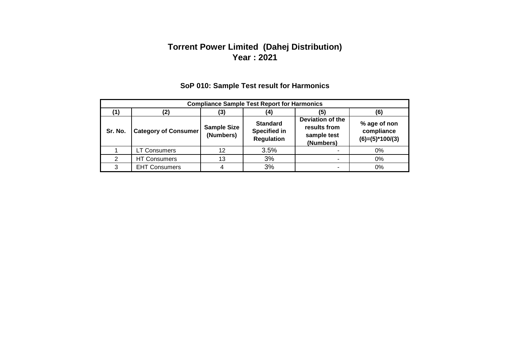### **Torrent Power Limited (Dahej Distribution) Year : 2021**

|         | <b>Compliance Sample Test Report for Harmonics</b> |                                 |                                                             |                                                              |                                                 |  |  |  |  |
|---------|----------------------------------------------------|---------------------------------|-------------------------------------------------------------|--------------------------------------------------------------|-------------------------------------------------|--|--|--|--|
|         | (6)<br>(3)<br>(5)<br>(2)<br>(4)                    |                                 |                                                             |                                                              |                                                 |  |  |  |  |
| Sr. No. | <b>Category of Consumer</b>                        | <b>Sample Size</b><br>(Numbers) | <b>Standard</b><br><b>Specified in</b><br><b>Regulation</b> | Deviation of the<br>results from<br>sample test<br>(Numbers) | % age of non<br>compliance<br>$(6)=(5)*100/(3)$ |  |  |  |  |
|         | <b>LT Consumers</b>                                | 12                              | 3.5%                                                        |                                                              | 0%                                              |  |  |  |  |
|         | <b>HT Consumers</b>                                | 13                              | 3%                                                          | -                                                            | 0%                                              |  |  |  |  |
| 3       | <b>EHT Consumers</b>                               |                                 | 3%                                                          | -                                                            | 0%                                              |  |  |  |  |

## **SoP 010: Sample Test result for Harmonics**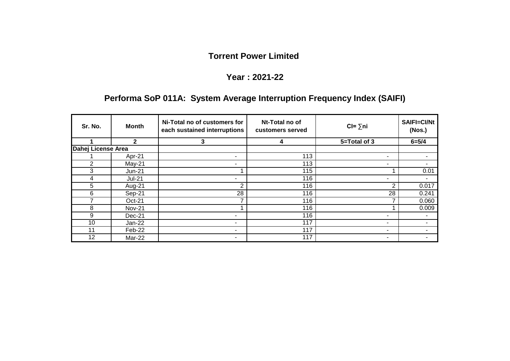## **Year : 2021-22**

# **Performa SoP 011A: System Average Interruption Frequency Index (SAIFI)**

| Sr. No.            | <b>Month</b>  | Ni-Total no of customers for<br>each sustained interruptions | Nt-Total no of<br>customers served | $CI = \sum n_i$ | <b>SAIFI=CI/Nt</b><br>(Nos.) |
|--------------------|---------------|--------------------------------------------------------------|------------------------------------|-----------------|------------------------------|
|                    | $\mathbf{2}$  | 3                                                            | 4                                  | 5=Total of 3    | $6 = 5/4$                    |
| Dahej License Area |               |                                                              |                                    |                 |                              |
|                    | Apr-21        |                                                              | 113                                | ٠               |                              |
| 2                  | $May-21$      |                                                              | 113                                | ٠.              | ۰.                           |
| 3                  | <b>Jun-21</b> |                                                              | 115                                |                 | 0.01                         |
| 4                  | <b>Jul-21</b> | ۰                                                            | 116                                | ٠.              | -                            |
| 5                  | Aug-21        | 2                                                            | 116                                | 2               | 0.017                        |
| 6                  | Sep-21        | 28                                                           | 116                                | 28              | 0.241                        |
|                    | Oct-21        | 7                                                            | 116                                |                 | 0.060                        |
| 8                  | <b>Nov-21</b> |                                                              | 116                                |                 | 0.009                        |
| 9                  | Dec-21        |                                                              | 116                                | ٠.              | ۰.                           |
| 10                 | Jan-22        |                                                              | 117                                | ٠.              | ۰.                           |
| 11                 | Feb-22        |                                                              | 117                                | ٠.              | ۰.                           |
| 12                 | Mar-22        | ٠                                                            | 117                                | ٠.              | ٠.                           |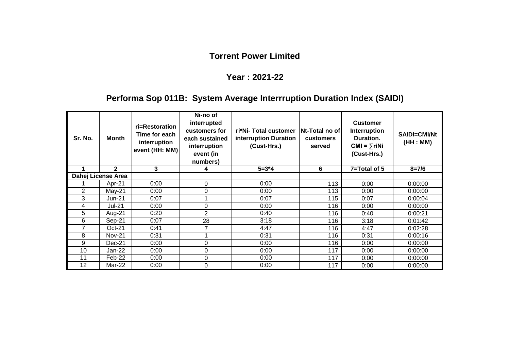#### **Year : 2021-22**

# **Performa Sop 011B: System Average Interrruption Duration Index (SAIDI)**

| Sr. No.        | Month              | ri=Restoration<br>Time for each<br>interruption<br>event (HH: MM) | Ni-no of<br>interrupted<br>customers for<br>each sustained<br>interruption<br>event (in<br>numbers) | ri*Ni-Total customer<br>interruption Duration<br>(Cust-Hrs.) | Nt-Total no of<br>customers<br>served | <b>Customer</b><br><b>Interruption</b><br>Duration.<br>$CMI = \sum r i Ni$<br>(Cust-Hrs.) | <b>SAIDI=CMI/Nt</b><br>(HH : MM) |
|----------------|--------------------|-------------------------------------------------------------------|-----------------------------------------------------------------------------------------------------|--------------------------------------------------------------|---------------------------------------|-------------------------------------------------------------------------------------------|----------------------------------|
|                | $\mathbf{2}$       | 3                                                                 |                                                                                                     | $5 = 3*4$                                                    | 6                                     | 7=Total of 5                                                                              | $8 = 7/6$                        |
|                | Dahej License Area |                                                                   |                                                                                                     |                                                              |                                       |                                                                                           |                                  |
|                | Apr-21             | 0:00                                                              | 0                                                                                                   | 0:00                                                         | 113                                   | 0:00                                                                                      | 0:00:00                          |
| $\overline{2}$ | $May-21$           | 0:00                                                              | 0                                                                                                   | 0:00                                                         | 113                                   | 0:00                                                                                      | 0:00:00                          |
| 3              | $Jun-21$           | 0:07                                                              |                                                                                                     | 0:07                                                         | 115                                   | 0:07                                                                                      | 0:00:04                          |
| 4              | <b>Jul-21</b>      | 0:00                                                              | $\mathbf 0$                                                                                         | 0:00                                                         | 116                                   | 0:00                                                                                      | 0:00:00                          |
| 5              | Aug-21             | 0:20                                                              | 2                                                                                                   | 0:40                                                         | 116                                   | 0:40                                                                                      | 0:00:21                          |
| 6              | Sep-21             | 0:07                                                              | 28                                                                                                  | 3:18                                                         | 116                                   | 3:18                                                                                      | 0:01:42                          |
| $\overline{7}$ | $Oct-21$           | 0:41                                                              |                                                                                                     | 4:47                                                         | 116                                   | 4:47                                                                                      | 0:02:28                          |
| 8              | <b>Nov-21</b>      | 0:31                                                              |                                                                                                     | 0:31                                                         | 116                                   | 0:31                                                                                      | 0:00:16                          |
| 9              | $Dec-21$           | 0:00                                                              | 0                                                                                                   | 0:00                                                         | 116                                   | 0:00                                                                                      | 0:00:00                          |
| 10             | Jan-22             | 0:00                                                              | 0                                                                                                   | 0:00                                                         | 117                                   | 0:00                                                                                      | 0:00:00                          |
| 11             | Feb-22             | 0:00                                                              | 0                                                                                                   | 0:00                                                         | 117                                   | 0:00                                                                                      | 0:00:00                          |
| 12             | Mar-22             | 0:00                                                              | 0                                                                                                   | 0:00                                                         | 117                                   | 0:00                                                                                      | 0:00:00                          |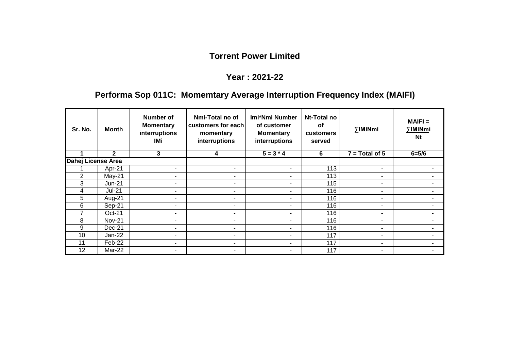#### **Year : 2021-22**

# **Performa Sop 011C: Momemtary Average Interruption Frequency Index (MAIFI)**

| Sr. No.            | <b>Month</b>   | Number of<br><b>Momentary</b><br>interruptions<br>IMi | Nmi-Total no of<br>customers for each<br>momentary<br>interruptions | Imi*Nmi Number<br>of customer<br><b>Momentary</b><br>interruptions | Nt-Total no<br>οf<br><b>customers</b><br>served | ∑IMiNmi          | $MAIFI =$<br>∑IMiNmi<br>Nt |
|--------------------|----------------|-------------------------------------------------------|---------------------------------------------------------------------|--------------------------------------------------------------------|-------------------------------------------------|------------------|----------------------------|
|                    | $\overline{2}$ | 3                                                     | 4                                                                   | $5 = 3 * 4$                                                        | 6                                               | $7 = Total of 5$ | $6 = 5/6$                  |
| Dahej License Area |                |                                                       |                                                                     |                                                                    |                                                 |                  |                            |
|                    | Apr-21         |                                                       | $\overline{\phantom{a}}$                                            | $\blacksquare$                                                     | 113                                             | $\blacksquare$   | $\overline{\phantom{0}}$   |
| $\overline{2}$     | $May-21$       | -                                                     | ۰                                                                   | $\blacksquare$                                                     | 113                                             | $\blacksquare$   | ۰                          |
| 3                  | <b>Jun-21</b>  |                                                       | ۰                                                                   | $\blacksquare$                                                     | 115                                             | $\blacksquare$   | ۰                          |
| 4                  | <b>Jul-21</b>  |                                                       | ۰                                                                   | ٠.                                                                 | 116                                             | ٠.               | ۰                          |
| 5                  | Aug-21         | ۰.                                                    | $\overline{\phantom{a}}$                                            | ۰                                                                  | 116                                             | ۰                | $\overline{\phantom{0}}$   |
| 6                  | Sep-21         | ۰.                                                    | ۰                                                                   | ۰.                                                                 | 116                                             | ۰.               | ٠                          |
| 7                  | Oct-21         | ۰.                                                    | ٠                                                                   | ٠                                                                  | 116                                             | ٠                | $\blacksquare$             |
| 8                  | <b>Nov-21</b>  |                                                       | ۰                                                                   | $\overline{\phantom{a}}$                                           | 116                                             | ٠                |                            |
| 9                  | Dec-21         | -                                                     | -                                                                   | $\overline{\phantom{a}}$                                           | 116                                             | ۰                | $\overline{\phantom{0}}$   |
| 10                 | Jan-22         |                                                       | ۰                                                                   |                                                                    | 117                                             |                  | $\overline{\phantom{0}}$   |
| 11                 | Feb-22         | ۰.                                                    | ۰                                                                   | ٠                                                                  | 117                                             | ٠                | ۰                          |
| 12                 | Mar-22         |                                                       | ۰                                                                   | ٠                                                                  | 117                                             | ۰                |                            |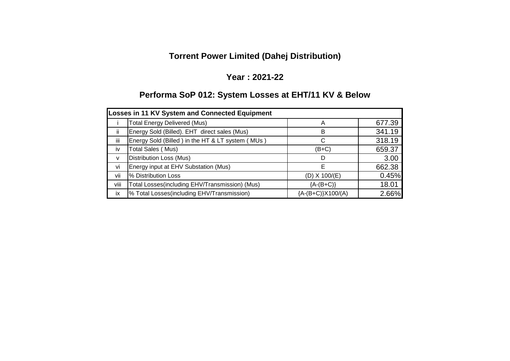# **Torrent Power Limited (Dahej Distribution)**

### **Year : 2021-22**

# **Performa SoP 012: System Losses at EHT/11 KV & Below**

| <b>Losses in 11 KV System and Connected Equipment</b> |                                                  |                        |        |  |  |  |  |
|-------------------------------------------------------|--------------------------------------------------|------------------------|--------|--|--|--|--|
|                                                       | <b>Total Energy Delivered (Mus)</b>              | А                      | 677.39 |  |  |  |  |
| -ii                                                   | Energy Sold (Billed). EHT direct sales (Mus)     | B                      | 341.19 |  |  |  |  |
| iii                                                   | Energy Sold (Billed) in the HT & LT system (MUs) |                        | 318.19 |  |  |  |  |
| iv                                                    | Total Sales (Mus)                                | (B+C)                  | 659.37 |  |  |  |  |
| $\mathsf{V}$                                          | <b>Distribution Loss (Mus)</b>                   | D                      | 3.00   |  |  |  |  |
| vi                                                    | Energy input at EHV Substation (Mus)             | F                      | 662.38 |  |  |  |  |
| vii                                                   | % Distribution Loss                              | $(D)$ X 100/ $(E)$     | 0.45%  |  |  |  |  |
| viii                                                  | Total Losses(including EHV/Transmission) (Mus)   | ${A-(B+C)}$            | 18.01  |  |  |  |  |
| ix                                                    | % Total Losses(including EHV/Transmission)       | ${A-(B+C)}$ $X100/(A)$ | 2.66%  |  |  |  |  |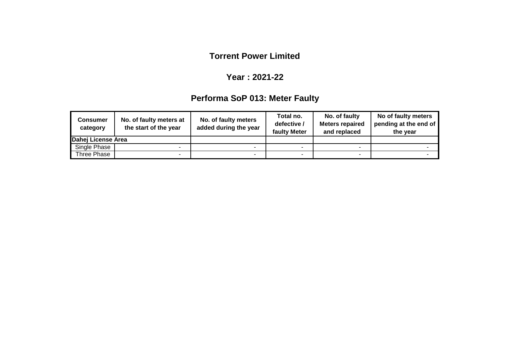### **Year : 2021-22**

# **Performa SoP 013: Meter Faulty**

| <b>Consumer</b><br>category | No. of faulty meters at<br>the start of the year | No. of faulty meters<br>added during the year | Total no.<br>defective /<br>faulty Meter | No. of faulty<br><b>Meters repaired</b><br>and replaced | No of faulty meters<br>pending at the end of<br>the year |
|-----------------------------|--------------------------------------------------|-----------------------------------------------|------------------------------------------|---------------------------------------------------------|----------------------------------------------------------|
| Dahej License Area          |                                                  |                                               |                                          |                                                         |                                                          |
| Single Phase                |                                                  |                                               |                                          |                                                         |                                                          |
| Three Phase                 |                                                  |                                               |                                          |                                                         |                                                          |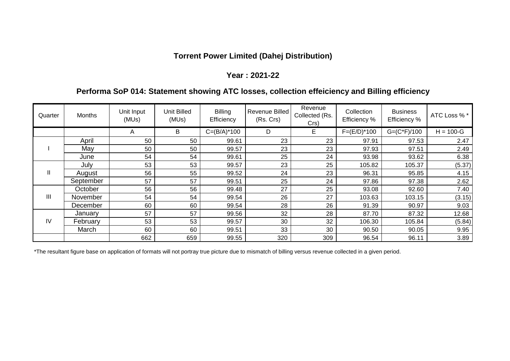### **Torrent Power Limited (Dahej Distribution)**

#### **Year : 2021-22**

### **Performa SoP 014: Statement showing ATC losses, collection effeiciency and Billing efficiency**

| Quarter       | <b>Months</b> | Unit Input<br>(MUs) | <b>Unit Billed</b><br>(MUs) | <b>Billing</b><br>Efficiency | Revenue Billed<br>(Rs. Crs) | Revenue<br>Collected (Rs.<br>Crs) | Collection<br>Efficiency % | <b>Business</b><br>Efficiency % | ATC Loss % *  |
|---------------|---------------|---------------------|-----------------------------|------------------------------|-----------------------------|-----------------------------------|----------------------------|---------------------------------|---------------|
|               |               | A                   | B                           | $C = (B/A)^*100$             | D                           | E.                                | $F=(E/D)*100$              | $G=(C*F)/100$                   | $H = 100 - G$ |
|               | April         | 50                  | 50                          | 99.61                        | 23                          | 23                                | 97.91                      | 97.53                           | 2.47          |
|               | May           | 50                  | 50                          | 99.57                        | 23                          | 23                                | 97.93                      | 97.51                           | 2.49          |
|               | June          | 54                  | 54                          | 99.61                        | 25                          | 24                                | 93.98                      | 93.62                           | 6.38          |
|               | July          | 53                  | 53                          | 99.57                        | 23                          | 25                                | 105.82                     | 105.37                          | (5.37)        |
| $\mathbf{  }$ | August        | 56                  | 55                          | 99.52                        | 24                          | 23                                | 96.31                      | 95.85                           | 4.15          |
|               | September     | 57                  | 57                          | 99.51                        | 25                          | 24                                | 97.86                      | 97.38                           | 2.62          |
|               | October       | 56                  | 56                          | 99.48                        | 27                          | 25                                | 93.08                      | 92.60                           | 7.40          |
| III           | November      | 54                  | 54                          | 99.54                        | 26                          | 27                                | 103.63                     | 103.15                          | (3.15)        |
|               | December      | 60                  | 60                          | 99.54                        | 28                          | 26                                | 91.39                      | 90.97                           | 9.03          |
| IV            | January       | 57                  | 57                          | 99.56                        | 32                          | 28                                | 87.70                      | 87.32                           | 12.68         |
|               | February      | 53                  | 53                          | 99.57                        | 30                          | 32                                | 106.30                     | 105.84                          | (5.84)        |
|               | March         | 60                  | 60                          | 99.51                        | 33                          | 30                                | 90.50                      | 90.05                           | 9.95          |
|               |               | 662                 | 659                         | 99.55                        | 320                         | 309                               | 96.54                      | 96.11                           | 3.89          |

\*The resultant figure base on application of formats will not portray true picture due to mismatch of billing versus revenue collected in a given period.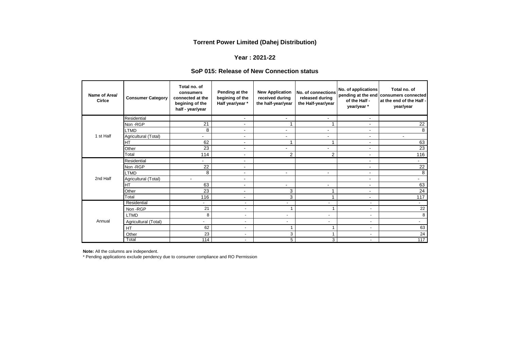#### **Torrent Power Limited (Dahej Distribution)**

#### **Year : 2021-22**

#### **SoP 015: Release of New Connection status**

| Name of Area/<br><b>Cirlce</b> | <b>Consumer Category</b> | Total no. of<br>consumers<br>connected at the<br>begining of the<br>half - year/year | Pending at the<br>begining of the<br>Half year/year * | <b>New Application</b><br>received during<br>the half-year/year | No. of connections<br>released during<br>the Half-year/year | No. of applications<br>of the Half -<br>year/year * | Total no. of<br>pending at the end consumers connected<br>at the end of the Half -<br>year/year |
|--------------------------------|--------------------------|--------------------------------------------------------------------------------------|-------------------------------------------------------|-----------------------------------------------------------------|-------------------------------------------------------------|-----------------------------------------------------|-------------------------------------------------------------------------------------------------|
|                                | Residential              |                                                                                      | $\overline{\phantom{a}}$                              | $\blacksquare$                                                  | $\blacksquare$                                              | $\blacksquare$                                      |                                                                                                 |
|                                | Non-RGP                  | 21                                                                                   | $\blacksquare$                                        |                                                                 | 4                                                           | $\blacksquare$                                      | 22                                                                                              |
|                                | <b>LTMD</b>              | 8                                                                                    |                                                       | -                                                               | ÷                                                           | ٠                                                   | 8                                                                                               |
| 1 st Half                      | Agricultural (Total)     | $\overline{\phantom{a}}$                                                             | $\blacksquare$                                        | $\blacksquare$                                                  | $\blacksquare$                                              | $\blacksquare$                                      | $\blacksquare$                                                                                  |
|                                | <b>HT</b>                | 62                                                                                   | $\overline{\phantom{a}}$                              | 4                                                               | 1                                                           | $\overline{\phantom{a}}$                            | 63                                                                                              |
|                                | Other                    | 23                                                                                   | $\blacksquare$                                        | $\overline{\phantom{a}}$                                        | $\blacksquare$                                              | $\blacksquare$                                      | 23                                                                                              |
|                                | Total                    | 114                                                                                  | $\overline{\phantom{a}}$                              | $\overline{2}$                                                  | $\overline{2}$                                              | $\overline{\phantom{a}}$                            | 116                                                                                             |
|                                | Residential              | $\sim$                                                                               | $\overline{\phantom{a}}$                              |                                                                 |                                                             | ۰                                                   | $\overline{\phantom{0}}$                                                                        |
|                                | Non-RGP                  | 22                                                                                   | $\overline{\phantom{a}}$                              |                                                                 |                                                             | $\overline{\phantom{a}}$                            | 22                                                                                              |
|                                | <b>LTMD</b>              | 8                                                                                    | $\blacksquare$                                        | $\overline{\phantom{a}}$                                        | $\blacksquare$                                              | $\blacksquare$                                      | 8                                                                                               |
| 2nd Half                       | Agricultural (Total)     | $\blacksquare$                                                                       | $\blacksquare$                                        |                                                                 |                                                             | $\blacksquare$                                      | $\overline{\phantom{0}}$                                                                        |
|                                | <b>HT</b>                | 63                                                                                   | $\overline{\phantom{a}}$                              | $\overline{\phantom{a}}$                                        | $\overline{\phantom{a}}$                                    | $\overline{\phantom{a}}$                            | 63                                                                                              |
|                                | Other                    | 23                                                                                   | $\overline{\phantom{a}}$                              | 3                                                               | 1                                                           | $\overline{\phantom{a}}$                            | 24                                                                                              |
|                                | Total                    | 116                                                                                  | $\overline{\phantom{a}}$                              | 3                                                               | 1                                                           | $\overline{\phantom{a}}$                            | 117                                                                                             |
|                                | Residential              | $\blacksquare$                                                                       | ÷                                                     | ٠                                                               | $\overline{\phantom{a}}$                                    | $\blacksquare$                                      | $\sim$                                                                                          |
|                                | Non - RGP                | 21                                                                                   | ٠                                                     |                                                                 |                                                             | $\overline{\phantom{a}}$                            | 22                                                                                              |
|                                | <b>LTMD</b>              | 8                                                                                    | ٠                                                     | $\overline{\phantom{a}}$                                        | $\overline{\phantom{a}}$                                    | $\overline{\phantom{a}}$                            | 8                                                                                               |
| Annual                         | Agricultural (Total)     | $\overline{\phantom{a}}$                                                             | ٠                                                     | $\overline{\phantom{a}}$                                        | $\overline{\phantom{a}}$                                    | ٠                                                   | $\sim$                                                                                          |
|                                | <b>HT</b>                | 62                                                                                   | $\overline{\phantom{a}}$                              |                                                                 | 1                                                           | $\overline{\phantom{a}}$                            | 63                                                                                              |
|                                | Other                    | 23                                                                                   | $\blacksquare$                                        | 3                                                               | 1                                                           | ٠                                                   | 24                                                                                              |
|                                | Total                    | 114                                                                                  | $\overline{\phantom{a}}$                              | 5                                                               | 3                                                           | $\overline{\phantom{a}}$                            | 117                                                                                             |

**Note:** All the columns are independent.

\* Pending applications exclude pendency due to consumer compliance and RO Permission